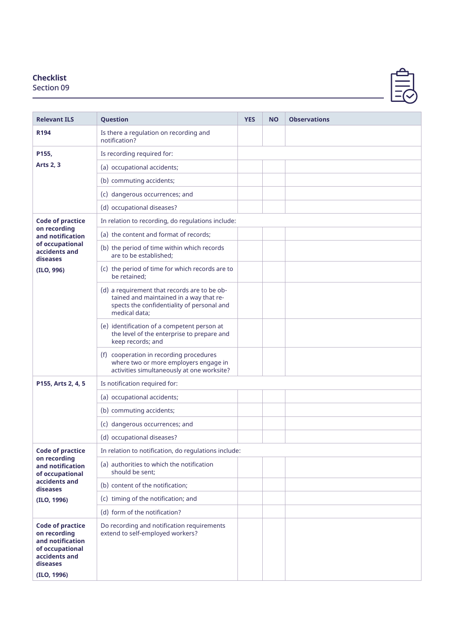## **Checklist**

Section 09



| <b>Relevant ILS</b>                                                                                                        | <b>Question</b>                                                                                                                                        | <b>YES</b> | <b>NO</b> | <b>Observations</b> |
|----------------------------------------------------------------------------------------------------------------------------|--------------------------------------------------------------------------------------------------------------------------------------------------------|------------|-----------|---------------------|
| R194                                                                                                                       | Is there a regulation on recording and<br>notification?                                                                                                |            |           |                     |
| P155,                                                                                                                      | Is recording required for:                                                                                                                             |            |           |                     |
| <b>Arts 2, 3</b>                                                                                                           | (a) occupational accidents;                                                                                                                            |            |           |                     |
|                                                                                                                            | (b) commuting accidents;                                                                                                                               |            |           |                     |
|                                                                                                                            | (c) dangerous occurrences; and                                                                                                                         |            |           |                     |
|                                                                                                                            | (d) occupational diseases?                                                                                                                             |            |           |                     |
| <b>Code of practice</b>                                                                                                    | In relation to recording, do regulations include:                                                                                                      |            |           |                     |
| on recording<br>and notification                                                                                           | (a) the content and format of records;                                                                                                                 |            |           |                     |
| of occupational<br>accidents and<br>diseases                                                                               | (b) the period of time within which records<br>are to be established:                                                                                  |            |           |                     |
| (ILO, 996)                                                                                                                 | (c) the period of time for which records are to<br>be retained;                                                                                        |            |           |                     |
|                                                                                                                            | (d) a requirement that records are to be ob-<br>tained and maintained in a way that re-<br>spects the confidentiality of personal and<br>medical data; |            |           |                     |
|                                                                                                                            | (e) identification of a competent person at<br>the level of the enterprise to prepare and<br>keep records; and                                         |            |           |                     |
|                                                                                                                            | (f) cooperation in recording procedures<br>where two or more employers engage in<br>activities simultaneously at one worksite?                         |            |           |                     |
| P155, Arts 2, 4, 5                                                                                                         | Is notification required for:                                                                                                                          |            |           |                     |
|                                                                                                                            | (a) occupational accidents;                                                                                                                            |            |           |                     |
|                                                                                                                            | (b) commuting accidents;                                                                                                                               |            |           |                     |
|                                                                                                                            | (c) dangerous occurrences; and                                                                                                                         |            |           |                     |
|                                                                                                                            | (d) occupational diseases?                                                                                                                             |            |           |                     |
| <b>Code of practice</b>                                                                                                    | In relation to notification, do regulations include:                                                                                                   |            |           |                     |
| on recording<br>and notification<br>of occupational<br>accidents and<br>diseases<br>(ILO, 1996)                            | (a) authorities to which the notification<br>should be sent:                                                                                           |            |           |                     |
|                                                                                                                            | (b) content of the notification;                                                                                                                       |            |           |                     |
|                                                                                                                            | (c) timing of the notification; and                                                                                                                    |            |           |                     |
|                                                                                                                            | (d) form of the notification?                                                                                                                          |            |           |                     |
| <b>Code of practice</b><br>on recording<br>and notification<br>of occupational<br>accidents and<br>diseases<br>(ILO, 1996) | Do recording and notification requirements<br>extend to self-employed workers?                                                                         |            |           |                     |